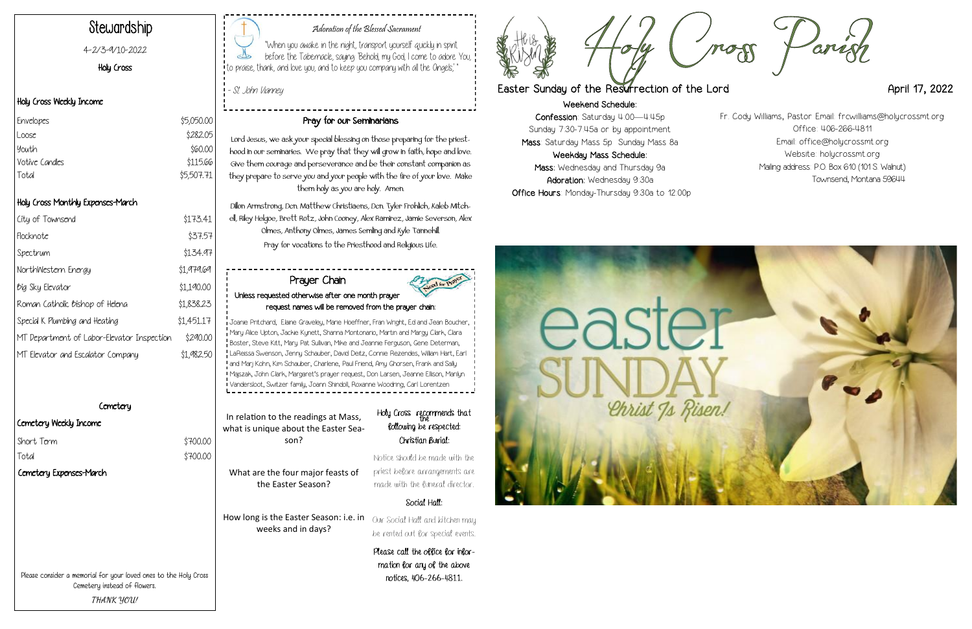Weekend Schedule: Confession: Saturday 4:00—4:45p Sunday 7:30-7:45a or by appointment Mass: Saturday Mass 5p Sunday Mass 8a Weekday Mass Schedule: Mass: Wednesday and Thursday 9a Adoration: Wednesday 9:30a Office Hours: Monday-Thursday 9:30a to 12:00p





### Adoration of the Blessed Sacrament

"When you awake in the night, transport yourself quickly in spirit before the Tabernacle, saying: 'Behold, my God, I come to adore You, ! to praise, thank, and love you, and to keep you company with all the Angels,' "

- St. John Vianney

## Stewardship

4-2/3-9/10-2022

#### Holy Cross

#### Holy Cross Weekly Income

#### Holy Cross Monthly Expenses-March

| City of Townsend                           | \$173.41   |
|--------------------------------------------|------------|
| Flocknote                                  | \$37.57    |
| Spectrum                                   | \$134.97   |
| NorthWestern Energy                        | \$1,979.69 |
| <i><b>Big Sky Elevator</b></i>             | \$1,190.00 |
| Roman Catholic Bishop of Helena            | \$1,838.23 |
| Special K Plumbing and Heating             | \$1,451.17 |
| MT Department of Labor-Elevator Inspection | \$290.00   |
| MT Elevator and Escalator Company          | \$1,982,50 |

#### **Cemetery**

| Envelopes      | \$5,050.00 |
|----------------|------------|
| Loose          | \$282.05   |
| Youth          | \$60.00    |
| Votive Candles | \$115.66   |
| Total          | \$5,507.71 |

#### Cemetery Weekly Income

#### Pray for our Seminarians

Holy Cross recommends that following be respected: Christian Burial:

Lord Jesus, we ask your special blessing on those preparing for the priesthood in our seminaries. We pray that they will grow in faith, hope and love. Give them courage and perseverance and be their constant companion as they prepare to serve you and your people with the fire of your love. Make them holy as you are holy. Amen.

Dillon Armstrong, Dcn. Matthew Christiaens, Dcn. Tyler Frohlich, Kaleb Mitchell, Riley Helgoe, Brett Rotz, John Cooney, Alex Ramirez, Jamie Severson, Alex Olmes, Anthony Olmes, James Semling and Kyle Tannehill. Pray for vocations to the Priesthood and Religious Life.

Please consider a memorial for your loved ones to the Holy Cross Cemetery instead of flowers. **THANK YOU!**

In relation to the readings at Mass, what is unique about the Easter Season? What are the four major feasts of the Easter Season?

How long is the Easter Season: i.e. in weeks and in days?

Notice should be made with the priest before arrangements are made with the funeral director.

#### Social Hall:

Our Social Hall and kitchen may be rented out for special events.

Please call the office for information for any of the above notices, 406-266-4811.



### Easter Sunday of the Resurrection of the Lord **April 17, 2022**

#### Prayer Chain Unless requested otherwise after one month prayer request names will be removed from the prayer chain:

Joanie Pritchard, Elaine Graveley, Marie Hoeffner, Fran Wright, Ed and Jean Boucher, Mary Alice Upton, Jackie Kynett, Shanna Montonario, Martin and Margy Clark, Clara Boster, Steve Kitt, Mary Pat Sullivan, Mike and Jeannie Ferguson, Gene Determan, LaReissa Swenson, Jenny Schauber, David Deitz, Connie Rezendes, William Hart, Earl and Marj Kohn, Kim Schauber, Charlene, Paul Friend, Amy Ghorsen, Frank and Sally Majszak, John Clark, Margaret's prayer request, Don Larsen, Jeanne Ellison, Marilyn Vandersloot, Switzer family, Joann Shindoll, Roxanne Woodring, Carl Lorentzen

Fr. Cody Williams, Pastor Email: frcwilliams@holycrossmt.org Office: 406-266-4811 Email: office@holycrossmt.org Website: holycrossmt.org Mailing address: P.O. Box 610 (101 S. Walnut) Townsend, Montana 59644

| \$700.00 |
|----------|
| \$700.00 |
|          |